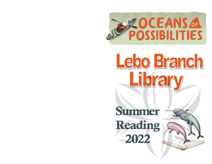